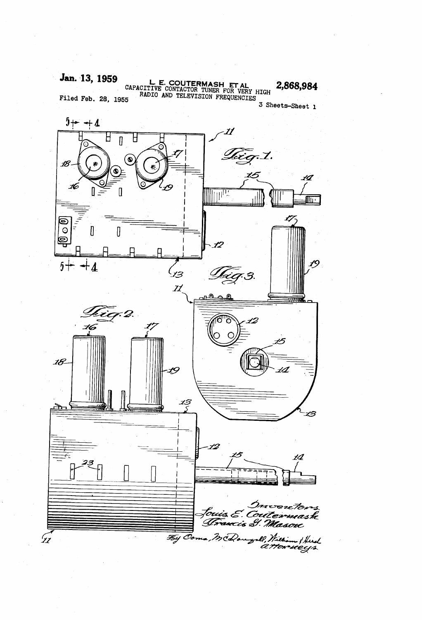## Jan. 13, 1959

L. E. COUTERMASH ET AL 2,868,984

Filed Feb. 28, 1955

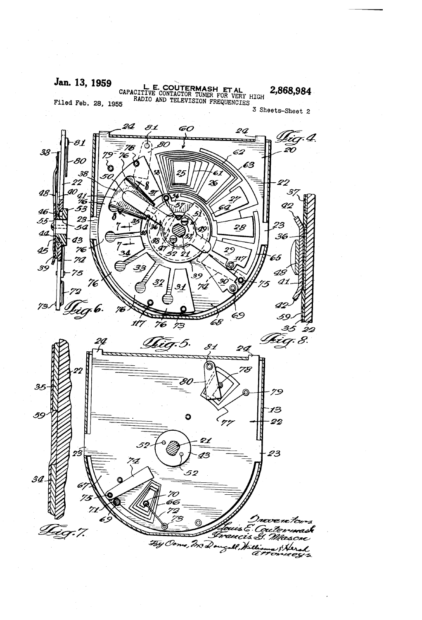

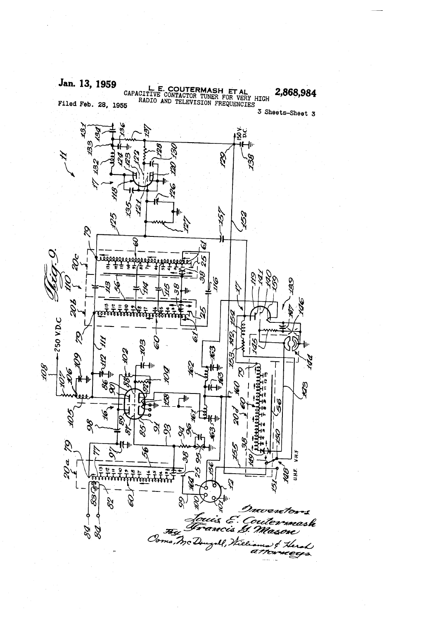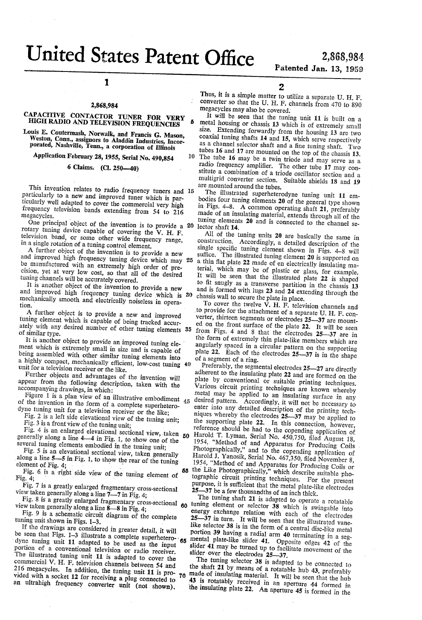# United States Patent Office

## 2,868,984 Patented Jan. 13, 1959

## 1

#### 2,868,984

## **CAPACITIVE CONTACTOR TUNER FOR VERY<br>HIGH RADIO AND TELEVISION EDECLIFYCING** HIGH RADIO AND TELEVISION FREQUENCIES

Louis E. Coutermash, Norwalk, and Francis G. Mason, Weston, Conn., assignors to Aladdin Industries, Incor porated, Nashville, Tenn., a corporation of Illinois

Application February 28, 1955, Serial No. 490,854

#### 6 Claims. (Cl. 250-40)

This invention relates to radio frequency tuners and 15 particularly to a new and improved tuner which is par ticularly well adapted to cover the commercial very high frequency television bands extending from 54 to 216 megacycles.

rotary tuning device capable of covering the V. H. F. television band, or some other wide frequency range, in a single rotation of a tuning control element.<br>A further object of the invention is to provide a new One principal object of the invention is to provide a 20 lector shaft 14.

A further object of the invention is to provide a new and improved high frequency tuning device which may 25 be manufactured with an extremely high order of pre cision, yet at very low cost, so that all of the desired tuning channels will be accurately covered.<br>It is another object of the invention to provide a new

It is another object of the invention to provide a new<br>and improved high frequency tuning device which is 30<br>mechanically smooth and electrically noiseless in opens tion. mechanically smooth and electrically noiseless in opera-

A further object is to provide a new and improved tuning element which is capable of being tracked accur-<br>ately with any desired number of other tuning elements 35 of similar type.

It is another object to provide an improved tuning element which is extremely small in size and is capable of being assembled with other similar tuning elements into a memy compact, mechanically efficient, low-cost tuning 40 unit for a television receiver or the like.

Further objects and advantages of the invention will appear from the following description, taken with the accompanying drawings, in which:

Figure 1 is a plan view of an illustrative embodiment  $_{45}$ of the invention in the form of a complete superhetero dyne tuning unit for a television receiver or the like;

Fig. 2 is a left side elevational view of the tuning unit; Fig. 3 is a front view of the tuning unit;

 $F_4$ :  $F_4$  is an enlarged elevational sectional view, taken 50<br>nerally along a line 4—4 in Fig. 1, to show and f the 50 generally along a line 4-4 in Fig. 1, to show one of the several tuning elements embodied in the tuning unit;

Fig. 5 is an elevational sectional view, taken generally along a line  $5-5$  in Fig. 1, to show the rear of the tuning element of Fig. 4;

Fig. 6 is a right side view of the tuning element of Fig. 4;

55

Fig. 7 is a greatly enlarged fragmentary cross-sectional view taken generally along a line  $\overline{7}$ -7 in Fig. 4;

Fig. 8 is a greatly entarged fragmentary cross-sectional  $\frac{60}{100}$ view taken generally along a line 8-8 in Fig. 4;

Fig. 9 is a schematic circuit diagram of the complete tuning unit shown in Figs.  $1-3$ .

If the drawings are considered in greater detail, it will dyne tuning unit 11 adapted to be used as the input 65 portion of a conventional television or radio receiver. The illustrated tuning unit 11 is adapted to cover the commercial V. H. F. television channels between 54 and 216 megacycles. In addition, the tuning unit 11 is provided with a socket 12 for receiving a plug connected to 70 an ultrahigh frequency converter unit (not shown).

Thus, it is a simple matter to utilize a separate U. H. F. converter so that the U. H. F. channels from 470 to 890 megacycles may also be covered.'

It will be seen that the tuning unit 11 is built on a metal housing or chassis 13 which is of extremely small size. Extending forwardly from the housing 13 are two coaxial tuning shafts 14 and 15, which serve respectively as a channel selector shaft and a fine tuning shaft. Two tubes 16 and 17 are mounted on the top of the chassis 13.

10 The tube 16 may be a twin triode and may serve as a radio frequency amplifier. The other tube 17 may constitute a combination of a triode oscillator section and a multigrid converter section. Suitable shields 18 and 19 are mounted around the tubes.<br>The illustrated superheterodyne tuning unit 11 em-

bodies four tuning elements 20 of the general type shown in Figs. 4-8. A common operating shaft 21, preferably made of an insulating material, extends through all of the tuning elements  $20$  and is connected to the channel se-

All of the tuning units 20 are basically the same in construction. Accordingly, a detailed description of the single specific tuning element shown in Figs.  $4-8$  will suffice. The illustrated tuning element 20 is supported on a thin flat plate 22 made of en electrically insulating material, which may be of plastic or glass, for example. It will be seen that the illustrated plate 22 is shaped to fit snugly as a transverse partition in the chassis  $13$ and is formed with lugs 23 and 24 extending through the chassis wall to secure the plate in place.

To cover the twelve  $\hat{V}$ . H. F. television channels and .to provide for the attachment of a separate U. H. F. con verter, thirteen segments or electrodes 25–37 are mount- $\epsilon$  on the front surface of the plate 22. It will be seen from Figs. 4 and 8 that the electrodes 25-37 are in the form of extremely thin plate-like members which are angularly spaced in a circular pattern on the supporting plate 22. Each of the electrodes 25-37 is in the shape of a segment of a ring.

Preferably, the segmental electrodes 25-27 are directly adherent to the insulating plate 22 and are formed on the plate by conventional or suitable printing techniques. Various circuit printing techniques are known whereby metal may be applied to an insulating surface in any desired pattern. Accordingly, it will not be necessary to enter into any detailed description of the printing tech niques whereby the electrodes 25-37 may be applied to the supporting plate 22. In this connection, however, reference should be had to the copending application of Harold T. Lyman, Serial No. 450,750, filed August 18,<br>1954, "Method of and Apparatus for Producing Coils 1954, "Method of and Apparatus for Producing Coils - Photographically," and to the copending application of Harold J. Yanosik, Serial No. 467,350, filed November 8,  $1224$ , we mod of and Apparatus for Producing Coils or the Like Photographically," which describe suitable pho tographic circuit printing techniques. For the present purpose, it is sufficient that the metal plate-like electrodes 25-37 be a few thousandths of an inch thick.

The tuning shaft 21 is adapted to operate a rotatable tuning element or selector 38 which is swingable into energy exchange relation with each of the electrodes 25––37 in turn. It will be seen that the illustrated vane-11 is the selector 38 is in the form of a central disc-like metal portion 39 having a radial arm 40 terminating in a seg mental plate-like slider 41. Opposite edges 42 of the slider 41 may be turned up to facilitate movement of the slider over the electrodes 25-37.

The tuning selector 38 is adapted to be connected to the shaft 21 by means of a rotatable hub 43, preferably made of insulating material. It will be seen that the hub 43 is rotatably received in an aperture 44 formed in the insulating plate 22. An aperture 45 is formed in the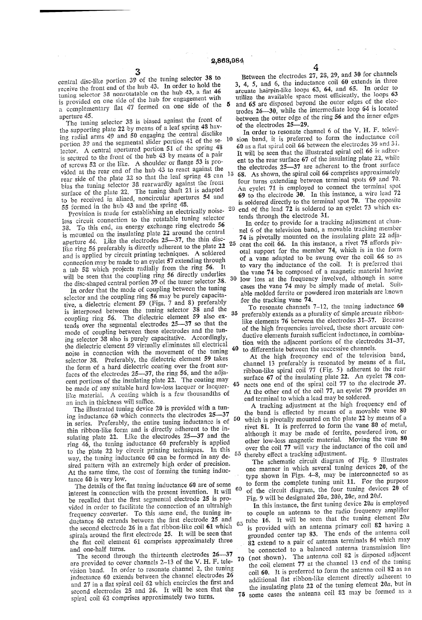45

central disc-like portion  $39$  of the tuning selector 38 to receive the front end of the hub 43. In order to hold the tuning selector 38 nonrotatable on the hub 43, a flat 46 is provided on one side of the hub for engagement with a complementary flat 47 formed on one side of the 5 aperture 45.

The tuning selector 38 is biased against the front of the supporting plate 22 by means of a leaf spring 48 having radial arms 49 and 50 engaging the central disclike portion 39 and the segmental slider portion 41 of the se- 10 lector. A central apertured portion 51 of the spring 48 is secured to the front of the hub 43 by means of a pair of screws 52 or the like. A shoulder or flange 53 is provided at the rear end of the hub 43 to react against the rear side of the plate 22 so that the leaf spring 48 can 15 bias the tuning selector 38 rearwardly against the front surface of the plate 22. The tuning shaft 21 is adapted to be received in alined, noncircular apertures 54 and 55 formed in the hub 43 and the spring 48.

Provision is made for establishing an electrically noise- 20 less circuit connection to the rotatable tuning selector 33. To this end, an energy exchange ring electrode 56 is mounted on the insulating plate 22 around the central aperture 44. Like the electrodes 25-37, the thin disc-25 like ring 56 preferably is directly adherent to the plate 22 and is applied by circuit printing techniques. A soldered connection may be made to an eyelet 57 extending through a tab 58 which projects radially from the ring 56. It will be seen that the coupling ring 56 directly underlies the disc-shaped central portion 39 of the tuner selector 38.

In order that the mode of coupling between the tuning selector and the coupling ring 56 may be purely capacitative, a dielectric element 59 (Figs. 7 and 8) preferably is interposed between the tuning selector  $38$  and the 35 coupling ring 56. The dielectric element 59 also extends over the segmental electrodes 25-37 so that the mode of coupling between these electrodes and the tuning selector 38 also is purely capacitative. Accordingly, the dielectric element 59 virtually eliminates all electrical 40 noise in connection with the movement of the tuning selector 38. Preferably, the dielectric element 59 takes the form of a hard dielectric coating over the front surfaces of the electrodes 25-37, the ring 56, and the adjacent portions of the insulating plate 22. The coating may be made of any suitable hard low-loss lacquer or lacquerlike material. A coating which is a few thousandths of an inch in thickness will suffice.

The illustrated tuning device 20 is provided with a tuning inductance 60 which connects the electrodes 25-37 50 in series. Preferably, the entire tuning inductance is of thin ribbon-like form and is directly adherent to the insulating plate 22. Like the electrodes 25-37 and the ring 46, the tuning inductance 60 preferably is applied to the plate 22 by circuit printing techniques. In this  $55$ way, the tuning inductance 60 can be formed in any desired pattern with an extremely high order of precision. At the same time, the cost of forming the tuning inductance 60 is very low.

The details of the flat tuning inductance 60 are of some  $60$ interest in connection with the present invention. It will be recalled that the first segmental electrode 25 is provided in order to facilitate the connection of an ultrahigh frequency converter. To this same end, the tuning inductance 60 extends between the first electrode 25 and the second electrode 26 in a flat ribbon-like coil 61 which spirals around the first electrode 25. It will be seen that the flat coil element 61 comprises approximately three and one-half turns.

The second through the thirteenth electrodes 26-37 are provided to cover channels 2-13 of the V. H. F. television band. In order to resonate channel 2, the tuning inductance 69 extends between the channel electrodes 26 and 27 in a flat spiral coil 52 which encircles the first and second electrodes 25 and 26. It will be seen that the spiral coil 62 comprises approximately two turns.

Between the electrodes 27, 28, 29, and 30 for channels 3, 4, 5, and 6, the inductance coil 60 extends in three arcuate hairpin-like loops 63, 64, and 65. In order to utilize the available space most efficiently, the loops 63 and 65 are disposed beyond the outer edges of the electrodes  $26 - 30$ , while the intermediate loop  $64$  is located between the outer edge of the ring 56 and the inner edges of the electrodes 25-29.

In order to resonate channel 6 of the V. H. F. television band, it is preferred to form the inductance coil 69 as a flat spiral coil 66 between the electrodes 39 and 31. It will be seen that the illustrated spiral coil 66 is adherent to the rear surface 67 of the insulating plate 22, while the electrodes 25-37 are adherent to the front surface 68. As shown, the spiral coil 66 comprises approximately four turns extending between terminal spots 69 and 70. An eyelet 71 is employed to connect the terminal spot 69 to the electrode 30. In this instance, a wire lead 72 is soldered directly to the terminal spot 70. The opposite end of the lead 72 is soldered to an eyelet 73 which extends through the electrode 31.

In order to provide for a tracking adjustment at channel 6 of the television band, a movable tracking member 74 is pivotally mounted on the insulating plate 22 adjacent the coil 66. In this instance, a rivet 75 affords pivotal support for the member 74, which is in the form of a vane adapted to be swung over the coil 66 so as to vary the inductance of the coil. It is preferred that the vane 74 be composed of a magnetic material having low loss at the frequency involved, although in some 30 cases the vane 74 may be simply made of metal. Suitable molded ferrite or powdered iron materials are known for the tracking vane 74.

To resonate channels 7-12, the tuning inductance 60 preferably extends as a plurality of simple arcuate ribbonlike elements 76 between the electrodes 31-37. Because of the high frequencies involved, these short arcuate conductive elements furnish sufficient inductance, in combination with the adjacent portions of the electrodes 31-37, to differentiate between the successive channels.

At the high frequency end of the television band, channel 13 preferably is resonated by means of a flat, ribbon-like spiral coil 77 (Fig. 5) adherent to the rear surface 67 of the insulating plate 22. An eyelet 78 connects one end of the spiral coil 77 to the electrode 37. At the other end of the coil 77, an eyelet 79 provides an end terminal to which a lead may be soldered.

A tracking adjustment at the high frequency end of the band is effected by means of a movable vane 80 which is pivotally mounted on the plate 22 by means of a rivet 81. It is preferred to form the vane 80 of metal, although it may be made of ferrite, powdered iron, or other low-loss magnetic material. Moving the vane 80 over the coil 77 will vary the inductance of the coil and thereby effect a tracking adjustment.

The schematic circuit diagram of Fig. 9 illustrates one manner in which several tuning devices 20, of the type shown in Figs. 4-8, may be interconnected so as to form the complete tuning unit 11. For the purpose of the circuit diagram, the four tuning devices 20 of Fig. 9 will be designated 20a, 20b, 20c, and 20d.

In this instance, the first tuning device 20a is employed to couple an antenna to the radio frequency amplifier tube 16. It will be seen that the tuning element 20a 65 is provided with an antenna primary coil 82 having a grounded center tap 83. The ends of the antenna coil 82 extend to a pair of antenna terminals 84 which may be connected to a balanced antenna transmission line (not shown). The antenna coil 82 is disposed adjacent -70 the coil element 77 at the channel 13 end of the tuning coil 60. It is preferred to form the antenna coil 82 as an additional flat ribbon-like element directly adherent to the insulating plate 22 of the tuning element  $20a$ , but in 75 some cases the antenna coil 82 may be formed as a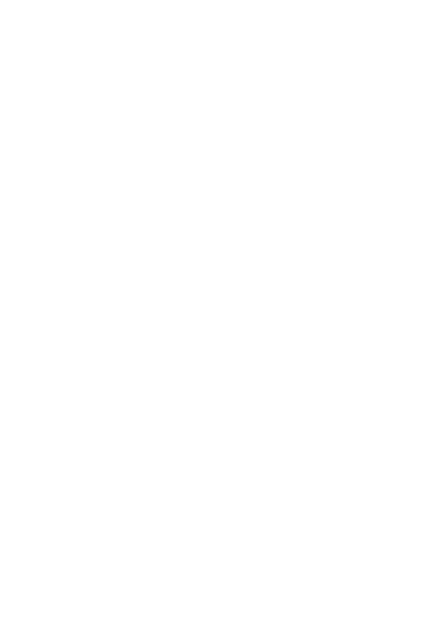separate wire winding positioned adjacent the flat spiral coil element 77.

Any standard or suitable circuit arrangement may be employed in connecting the antenna tuning element  $20a$ to the radio frequency amplifier tube 16. In this instance,  $\overline{5}$ the tube 16 comprises a pair of triodes 85 and 86 having respective grids 87 and 88, plates 89 and 90, and cathodes 91 and 92. It will be seen that the tuning selector 38 is connected to the grid 87 of the first triode 85, this connection being made by extending a lead 93 between the 10 grid and the coupling ring 56 on the tuning element 20a. A grid return resistor 94 and a metering jumper 95 are connected in series between the grid 87 and ground, a bypass capacitor 96 being connected across the metering jumper 95.

At the channel 13 end of the tuning coil 60, the terminal eyelet 79 is bypassed to ground by an adjustable neutralizing capacitor 97. A coupling capacitor 98, acting in combination with the neutralizing capacitor 97, is connected between the terminal 79 and the plate 89 of 20 the triode 85.

To provide for the connection of an ultrahigh frequency converter, the converter electrode 25 of the antenna tuning element  $20a$  is connected to a lead 99 which extends to one terminal 100 of the U. H. F. socket 12. 25 This terminal 100, in conjunction with a grounded terminal 101, provides an input circuit for an intermediate frequency signal received from a separate U. H. F. converter. When the tuning selector 38 overlies the U. H. F. electrode 25, the intermediate frequency signal from the 30 lead 99 is applied to the grid 87 of the radio frequency amplifier triode 85. It will be seen that the antenna tuning element  $20a$  differs from the specific tuning element 20 shown in Figs. 4-8 in that the intermediate<br>frequency coil element 61 is omitted from the antenna 35 tuning element 20a. Thus, the U. H. F. electrode 25 serves simply as a coupling electrode between the input terminal 100 and the tuning selector 38. It will be understood that the signal from the separate U. H. F. converter is ordinarily at a fixed intermediate frequency, 40 such as 43.5 megacycles, for example, and that the tuning unit 11 serves simply as an additional intermediate frequency amplifier when the U. H. F. converter is being employed.

When the tuning selector 38 of the antenna tuner is 45 at any one of the electrodes 26-37, corresponding to channels 2-13, the portion of the tuning coil  $\hat{60}$  between the tuning selector and the end terminal 79 is resonated by the capacitor 97, the interelectrode capacitances of the triode 85, and the various distributed capacitances 50 existing between the circuit leads, the various elements of the coil 60 and ground. The tuning is varied by changing the effective inductance of the antenna tuner 20a, while the various resonating capacitances remain substantially constant. 55

In the known manner, the plate 89 of the first radio frequency triode section 85 is connected to the cathode 92 of the second triode section 86 through a small radio<br>frequency choke 102. The grid 88 of the second triode section 86 is effectively connected to ground through a 60 bypass capacitor 103. A grid return resistor 104 is<br>connected between the grid 88 and the cathode 92.

Positive plate potential is applied to the plate 90 of the second triode section 86 through a radio frequency choke 105 connected between the plate and the terminal 65 106. A filtering resistor 107 extends from the terminal 106 to a plate supply lead 108 representing a source of positive plate supply voltage. A bypass capacitor 109 is connected between the terminal 106 and ground.

In this instance, the second and third tuner elements 70 20b and 20c are connected in a band pass filter circuit 110 between the plate 90 of the radio frequency amplifier 16 and the input of the converter or mixer tube 17. Thus, signals are carried from the plate 90 to the tuner

and the end terminal  $79$  of the tuner  $20b$ . A small adjustable trimmer capacitor 112 may be connected between the lead 111 and ground. The tuning selectors 38 of both of the tuners  $20b$  and  $20c$  are grounded in this instance. It will be understood that the ground connections are actually made to the coupling rings 56 of the tuners  $20b$  and  $20c$ .

Coupling is afforded between the tuners  $20b$  and  $20c$ by means of a plurality of small coupling capacitors 113, 114, 115, and 116. It will be seen that the capacitor 113 is connected between the end terminals 79 of the respective tuners  $20b$  and  $20c$ , while the capacitors 114, 115, and 116 are connected between the channel 8, channel 5, and channel 2 electrodes of the tuners  $20b$  and  $20c$ . For convenience, the electrodes designated 26-37 in Figs. 4-8 are marked with channel numbers in the circuit diagram of Fig. 9. Eyelets may be mounted in the various electrodes so that soldered connections to the capacitors 113-116 may readily be made. Such eyelets are shown at 117 in Fig. 4.

It will be seen that the electron discharge tube 17 comprises a multigrid converter or mixer section 118 and a triode oscillator section 119, both having a common cathode 120. In addition, the mixer section 118 is provided with a control grid 121, a screen grid 122, a suppressor 123, and a plate 124. A lead 125 is connected between the terminal 79 of the tuner section  $20c$  and the control grid 121 to carry signals from the band pass filter 110 to the mixer section 118. It will be seen that an adjustable trimmer capacitor 126 and a grid return resister 127 are connected in parallel between the control<br>grid 121 and ground. The screen grid 122 is supplied with positive potential through a voltage dropping resistor 128 connected to a positive plate supply terminal 129. A bypass capacitor 130 is connected between the screen grid 122 and ground. The suppressor grid 123 is directly grounded in the usual manner.

Intermediate frequency signals are carried from the plate 124 to an output lead 131 through a radio frequency filtering choke 132, a lead 133, and a blocking capacitor 134 connected in series. Radio frequency bypass capacitors 135 and 136 are connected between the opposite ends of the choke 132 and ground. A plate load resistor 137 extends between the lead 133 and the plate supply terminal 129. The terminal 129 is bypassed to ground by a capacitor 138.

With the movable tuning selectors 38 of the band pass filter sections  $20b$  and  $20c$  opposite the intermediate frequency electrodes 25, the band pass filter 110 is tuned to the intermediate frequency, which is usually 43.5 megacycles. Accordingly, an intermediate frequency signal from an ultrahigh frequency converter, connected to the socket 12, will be amplified by the tubes 16 and 118 and will be resonated by the band pass filter 110. For this condition of operation, the entire tuning coil 60 of each filter section  $20b$  and  $20c$  is in the resonant circuit between the terminal 79 and ground. It will be understood that the tuning coils 60 are resonated by the trimmer capacitors 112 and 126, the output and input capacitances of the tubes 16 and 17, the capacitances to ground afforded by the tuning selectors 38, and the various distributed circuit capacitances.

As the tuning selectors 38 of the band pass filter sections  $20b$  and  $20c$  are moved over the various electrodes for channels 2–13, the effective inductances of the tuning coils 60 are diminished because only the portions of the coils between the terminals 79 and the selectors 38 are effectively in the resonant circuit. The provision of the several coupling capacitors 113-116 provides the requisite degree of coupling at all of the various tuning posi-

tions of the tuning selectors 38. The fourth tuner section  $20d$  is employed in a super-

heterodyne oscillator circuit 139, which utilizes the triode section 119 of the tube 17. It will be seen that this triode section 20b over a lead 111 connected between the plate 75 section comprises a grid 140 and a plate 141, in addition

5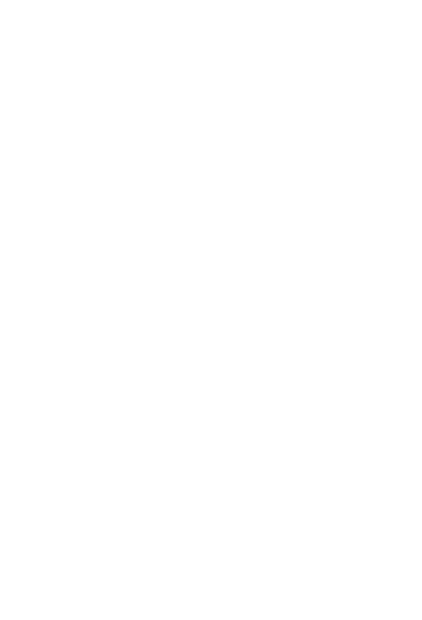to the cathode 120. The end terminal 79 of the tuner section 20d is connected through a lead 142 to the plate A lead 143 establishes a connection between the 141. grid 140 and the rotatable tuning selector 38 of the tuner 20d. It will be noted that the tuner section 20d differs specifically from the tuner 20 shown in Figs. 4-8 in that the ultrahigh frequency converter electrode 25 and the coil section 61 are omitted entirely from the tuner 20d.

To provide for fine tuning of the oscillator 139, a small variable capacitor 144 is connected between the 10 grid 140 and ground. The capacitor 144 is operable by the fine tuning shaft 15 (Fig. 1).

In the usual manner, a grid return resistor 145 and a metering jumper 146 are connected in series between the grid 140 and ground. A bypass capacitor 147 is con- 15 nected across the metering jumper 146.

Plate supply voltage is adapted to be supplied to the oscillator 139 through a two-position switch 148 having a movable contact  $\bar{1}49$  and a pair of fixed contacts 150 and 151. The switch 148 affords a selection between 20 V. H. F. and U. H. F. operation. Thus, the movable contact 149 is connected through a lead 152 to the plate supply terminal 129. A load resistor 153 and a radio frequency choke 154 are connected in series between the fixed contact 150 and the plate 141 of the oscillator tri-25 ode. The other fixed switch contact 151 is connected through a lead 155 to one terminal 156 of the U. H. F. socket 12. It will be understood that the terminal 156 serves to transmit plate supply voltage to a separate 30 U. H. F. converter connected to the socket 12. With the movable switch contact 149 engaging the contact 150, the oscillator 139 is energized so that the tuning unit 11 will operate as a superheterodyne converter section for V. H. F. television signals. With the switch contact 149 engaging the contact 151, the oscillator 139 is de-energized -35 and the separate U. H. F. converter is energized. The intermediate frequency output of the U. H. F. converter is amplified by the radio frequency amplifier tube 16 and the mixer section 118 of the tube 17.

For normal V. H. F. converter operation, the output  $40$ of the oscillator 139 is injected into the mixer section  $\overline{118}$ by means of a small coupling capacitor 157 connected between the plate 141 of the oscillator triode 17 and the grid 121 of the mixer section 118.

45 It will be understood that the tubes 16 and 17 are provided with heaters 158 and 159 energized from a heater supply lead 160 through radio frequency filtering chokes 161 and 162. Radio frequency bypass capacitors 163 are employed in the usual manner in the heater circuit. The  $50$ heater supply lead 160 is connected to another terminal 164 of the U. H. F. converter socket 12 in order that the separate U. H. F. converter may be supplied with heater voltage.

While the operation of the superheterodyne tuning unit  $55$ 11 and of the four tuners 20 embodied therein will be clear from the foregoing description, it may be helpful to offer a brief summary. The tuning unit 11 is placed in operation by connecting the output terminals 84 to a suitable antenna. The output lead 131 is connected to 60 the input of a suitable intermediate frequency amplifying system. Suitable plate supply voltages are applied between ground and the plate supply terminals 108 and 129. A source of heater voltage is connected between ground and the heater supply lead 160. For normal op-65 eration of the tuning unit, the switch 149 is set in its V. H. F. position, as shown in Fig. 9, so that plate voltage will be applied to the oscillator tride 17.

Any of the very high frequency television channels may be selected by turning the main control shaft 14 of the tuning unit 11 to the proper predetermined position. All of the tuning selectors 38 of the four tuner sections 20a-20d are rotated in common by the shaft 14. As each of the tuning vanes or selectors 38 is rotated, it moves over each of the segmental plate-like electrodes 25-37 in turn. The flat plate-like slider arm 41 of the

tuning selector 38 is thus movable into an energy exchange relation with each of the electrodes 25-37. By virtue of the dielectric coating 59 over the electrodes 25-37, the mode of energy exchange between the tuning selector 38 and the electrodes is purely capacitive. In other words, the tuning selector 38 is movable into capacitive coupling relation with the successive stationary electrodes in turn.

Circuit connections are made to the tuning selector 38 of each of the tuner sections 20 by means of the stationary disc-like ring 56 which is capacitively coupled to the central disc-like portion 39 of the tuning selector. Movement of the tuning selector 38 to one of the seg-<br>mental electrodes  $26-37$  for television channels  $2-13$ thus effectively couples the ring 56 to a selected point on the tuning inductance 60, which connects the electrodes in series. In the circuit arrangement of Fig. 9, the portion of each tuning inductance 60 between the end terminal 79 and the tuning selector 38 is effectively in the circuit, while the remaining portion is inactive. The active portion of the tuning inductance 60 is resonated by the various shunt and series capacitances in the particular circuit.

For any of the television channels  $2-13$ , a signal is coupled from the antenna terminals 84 to the antenna tuner section  $20a$  by the antenna primary coil 82. The portion of the tuning inductance 60 between the end terminal 79 and the tuning selector 38 forms a resonant circuit with the various circuit capacitances and the in-The lead 93 conveys put capacitance of the tube 16. the radio frequency signal from the tuning selector 33 to the input grid 87 of the triode section 85. Amplification of the signal occurs in the triode sections 85 and 86. The band pass filter 110 conveys the radio frequency

signal from the plate 90 of the amplifier triode 86 to<br>the grid 121 of the mixer tube section 118. The grounded tuning selector 38 of each band pass filter section  $20b$ and 20c effectively couples the selected channel electrode to ground so that the portion of the tuning inductance 60 between the end terminal 79 and the selected electrode will be resonated by the various capacitances in the circuit. Initial adjustment of each of the tuner sections  $20b$  and  $20c$  may be effected by varying the trimmer capacitors 112 and 126. Energy is transferred between the two band pas filter sections  $20b$  and  $20c$  by the coupling capacitors 113-116.

The oscillator 139 is tuned to the desired superheterodyning frequency by the portion of the turner section 20d between the tuning selector 38 and the end terminal 79, acting as a resonant circuit in combination with the various interelectrode and circuit capacitances. The coupling capacitor 157 carries the oscillator signal to the grid 121 of the mixer tube section 118. Thus, a signal at the fixed intermediate frequency appears at the plate 124 of the mixer tube section 118.

Tracking adjustments between the various tuner sections  $20a-20d$  may be effected by moving the tracking vanes 74 and 80 so as to change the inductance of the coil elements 66 and 77. The vane 80 will effect a tracking adjustment at the high frequency end of the band, while the vane 74 is effective at an intermediate point in the band. Further refinements in tracking adjustment may be made by varying the trimmer capacitors 112 and 126.

It will be understood that the tuning devices  $20a-20d$ may be manufactured with printed tuning inductances 60 which differ in form so as to obtain virtually perfect tracking at all channels in the television band. Once the desired conformation of the coils 60 has been established, they can be reproduced with great precision by circuit 70 printing techniques. Thus, the matter of tracking adjustments is reduced to a minor problem from the point of view of the manufacturer.

A separate ultrahigh frequency converter may be connected to the very high frequency tuning unit 11 by 75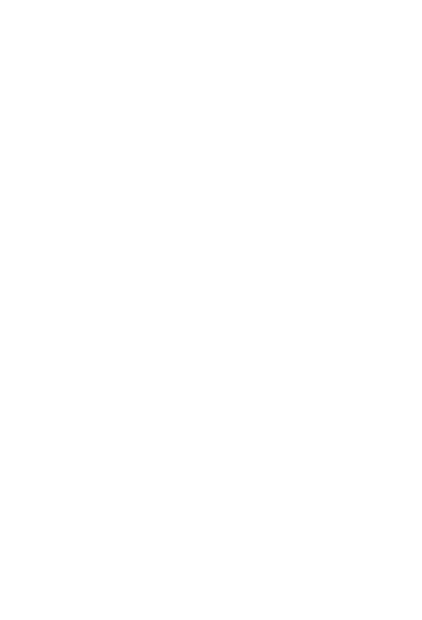2,868,984

 $\overline{K}$ 

means of the socket 12. The output of the U. H. F. converter is received between the socket terminal 100 and the grounded terminal 101, while plate and heater voltages are supplied to the converter by the terminals 156 and 164. For U. H. F. operation, the switch 148 is shifted so that the movable contact 149 engages the fixed contact 148. Plate potential is thereby disconnected from the oscillator 139 and supplied to the socket termiand 156. The main tuning shaft 14 is rotated to bring U. H. F. coupling electrodes 25. Under these conditions the oscillator 139 is inoperable and the tubes 16 and 17 function as additional intermediate frequency amplifiers. The intermediate frequency signal from the U. H. F. conelectrode 25 of the turner  $20a$ , and then is simply transferred capacitively to the tuning selector 38. The inductance 60 of the tuner section  $20a$  is effectively out of the circuit.

 $20b$  and  $20c$ , the entire inductance coil 60, including the coil element 61, is in the resonant circuit. The inductance of the coil element 61 is sufficient to lower the resonant frequency of the band pass tuner section to the desired intermediate frequency. Thus, the intermediate 25 frequency signal is coupled to the mixer tube section 118 and is developed in amplified form at the output lead 141.

Since all of the inductance elements of each tuner section is printed on a single flat plate, the tuner sections 30 are extremely compact and low in cost. At the same time, they may be manufactured with a high order of precision. By virtue of the purely capacitive coupling between the movable tuning selectors and the electrodes of the flat tuner sections, the operation of the tuning 35 selectors is free from electrical noise.

Various modifications, alternative constructions and equivalents may be employed without departing from the true spirit and scope of the invention as exemplified in the foregoing description and defined in the following 40 claims.

We claim:

1. A tuner for very high frequency television signals, said tuner comprising an electrically insulating plate having an aperture therethrough, a thin disc-like conduc- 45 tive coupling ring adherent to said plate around said aperture, a plurality of thin conductive angularly spaced segmental electrodes adherent to one side of said plate around said ring, a plurality of thin conductive ribbons adherent to said plate and extending between adjacent 50 ones of said electrodes, said ribbons and said electrodes together defining a tuning coil interconnecting said electrodes in series, said electrodes being arranged sequentially as first, second, third, and so forth, in said series, the first of said ribbons extending between the first and 55 second of said electrodes in a spiral around said first electrode, the second of said ribbons extending between said second and third of said electrodes in a spiral around the first and second of said electrodes, another of said ribbons extending between another pair of said electrodes in an arcuate hairpin-like loop spaced radially  $60$ outwardly from said electrodes, another of said ribbons extending between another pair of said electrodes in an arcuate hairpin-like loop spaced radially inwardly from said electrodes, another of said ribbons extending in a spiral coil on the opposite side of said plate from said 65 electrodes, connector elements extending through said plate between the opposite ends of said spiral coil and another pair of said electrodes, an adjustable magnetic vane pivotally mounted on said plate adjacent said spiral coil for varying the inductance thereof, an additional spirally coiled ribbon on said opposite side of said plate and having one end connected to the first of said electrodes, a conductive vane pivotally mounted on said

adjusting the inductance thereof, a tuning element rotatably mounted in said aperture and capacitively coupled to said ring, and a slider on said tuning element slidable successively over said electrodes into capacitive coupling relation with each of said electrodes in turn.

2. A tuner for the twelve very high frequency television channels, said tuner comprising a flat insulating plate having an aperture therethrough, a thin metal disclike ring adherent to said plate around said aperture, a the tuning selectors of the sections 20a-20c opposite the 10 thin insulating coating over said ring, a tuning element rotatable in said aperture and having a metal disc-like element overlaying said ring and capacitively coupled thereto, a metal radial arm connected to said disc-like element, a metal slider on the outer end of said arm and verter is carried by the lead 99 to the U. H. F. coupling 15 movable therewith along one surface of said plate along a circular path, thirteen thin metal plate-like angularly spaced segmental electrodes adherent to said plate along said circular path, a thin insulating coating over said electrodes, said slider being movable into capacitive In the case of each of the band pass turner sections 20 coupling relation with each of said electrodes in turn, said electrodes from the first to the last constituting an intermediate frequency resonating electrode for use with an ultrahigh frequency converter and channel electrodes for television channels two through thirteen, an inductance coil connecting said electrodes from the first to the last in series and comprising a plurality of ribbons adherent to said plate and extending between the successive electrodes, the first of said ribbons extending between the intermediate frequency electrode and the channel two electrode and spiraling around said intermediate frequency electrode, the second of said ribbons extending between the channel two and channel three electrodes and spiraling around the intermediate frequency and the channel two electrodes, the third, fourth, and fifth ribbons constituting areuate hairpin-like loops interconnecting the channel three, four, five, and six electrodes and alternately spaced radially outwardly and inwardly on said plate from said electrodes, the sixth ribbon being a spiral coil element adherent to the opposite side of said plate from said electrodes and being connected between the channel six and seven electrodes, a tracking vane pivotally mounted on said plate adjacent said sixth ribbon for varying the inductance thereof, the seventh through the ninth ribbons being arcuate elements interconnecting the channel seven through thirteen electrodes, an additional spiral ribbon coil adherent to the opposite side of said plate and having one end connected to the channel two electrode, and a tracking vane pivotally mounted on said plate adjacent said additional spiral ribbon coil for adjusting the inductance thereof.

3. A tuner for the twelve very high frequency television channels, said tuner comprising a flat insulating plate having an aperture therethrough, a thin metal disclike ring adherent to said plate around said aperture, a thin insulating coating over said ring, a tuning element rotatable in said aperture and having a metal disc-like element overlying said ring and capacitively coupled thereto, a metal radial arm connected to said disc-like element, a metal slider on the outer end of said arm and movable therewith along one surface of said plate along a circular path, thirteen thin metal plate-like angularly spaced segmental electrodes adherent to said plate along said circular path, a thin insulating coating over said electrodes, said slider being movable into capacitive coupling relation with each of said electrodes in turn, said electrodes from the first to the last constituting an intermediate frequency resonating electrode for use with an ultrahigh frequency converter and channel electrodes for television channels two through thirteen, an inductance coil connecting said electrodes from the first to the last in series and comprising a plurality of ribbons adherent to said plate and extending between the successive electrodes, the sixth ribbon being a spiral coil element connected between the channel six and seven electrodes, plate adjacent said additional spirally coiled ribbon for 75 a tracking vane pivotally mounted on said plate adjacent